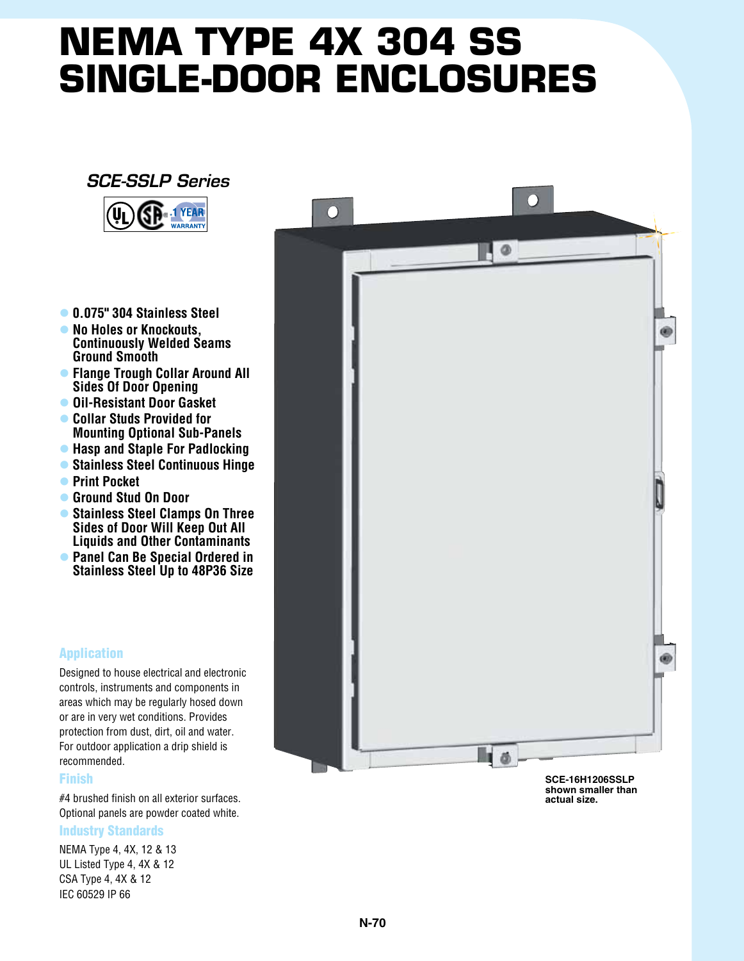# **NEMA TYPE 4X 304 SS single-door Enclosures**

## *SCE-SSLP Series*



- l **0.075" 304 Stainless Steel**
- **No Holes or Knockouts. Continuously Welded Seams Ground Smooth**
- l **Flange Trough Collar Around All Sides Of Door Opening**
- **Oil-Resistant Door Gasket**
- **Collar Studs Provided for Mounting Optional Sub-Panels**
- **Hasp and Staple For Padlocking**
- l **Stainless Steel Continuous Hinge**
- **Print Pocket**
- l **Ground Stud On Door**
- **Stainless Steel Clamps On Three Sides of Door Will Keep Out All Liquids and Other Contaminants**
- **Panel Can Be Special Ordered in Stainless Steel Up to 48P36 Size**

### Application

Designed to house electrical and electronic controls, instruments and components in areas which may be regularly hosed down or are in very wet conditions. Provides protection from dust, dirt, oil and water. For outdoor application a drip shield is recommended.

#### Finish

#4 brushed finish on all exterior surfaces. Optional panels are powder coated white.

#### Industry Standards

NEMA Type 4, 4X, 12 & 13 UL Listed Type 4, 4X & 12 CSA Type 4, 4X & 12 IEC 60529 IP 66



**shown smaller than actual size.**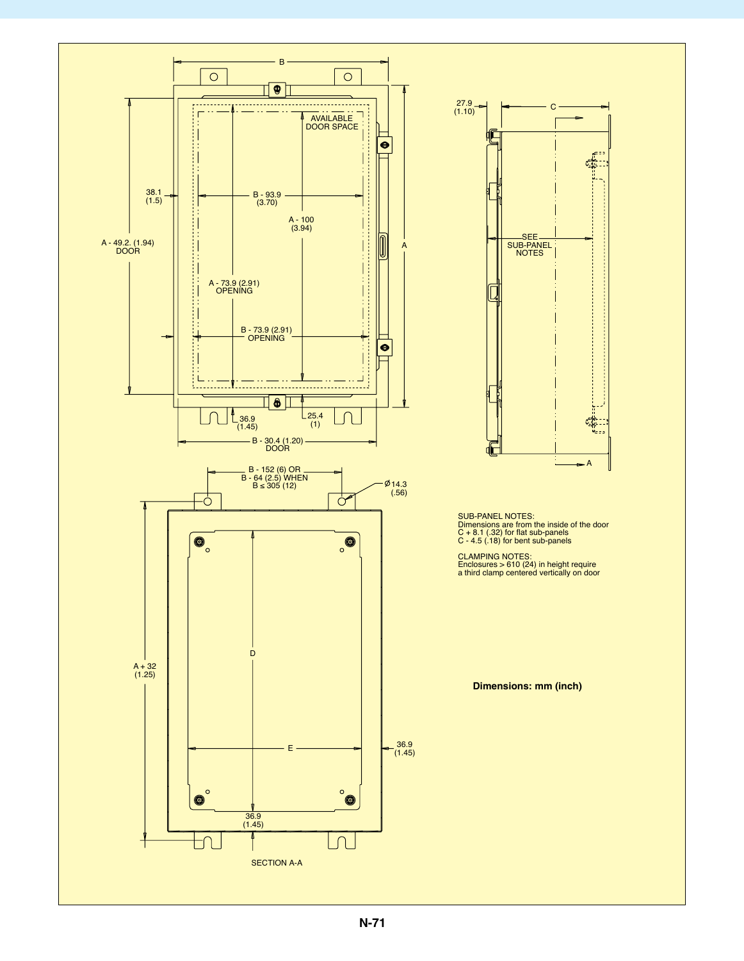